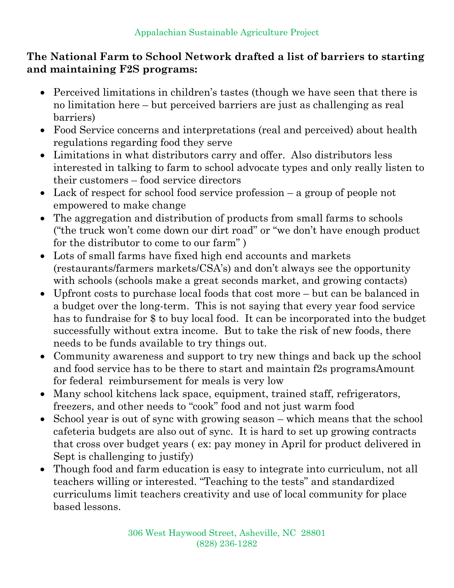## **The National Farm to School Network drafted a list of barriers to starting and maintaining F2S programs:**

- Perceived limitations in children's tastes (though we have seen that there is no limitation here – but perceived barriers are just as challenging as real barriers)
- Food Service concerns and interpretations (real and perceived) about health regulations regarding food they serve
- Limitations in what distributors carry and offer. Also distributors less interested in talking to farm to school advocate types and only really listen to their customers – food service directors
- Lack of respect for school food service profession a group of people not empowered to make change
- The aggregation and distribution of products from small farms to schools ("the truck won't come down our dirt road" or "we don't have enough product for the distributor to come to our farm" )
- Lots of small farms have fixed high end accounts and markets (restaurants/farmers markets/CSA's) and don't always see the opportunity with schools (schools make a great seconds market, and growing contacts)
- Upfront costs to purchase local foods that cost more but can be balanced in a budget over the long-term. This is not saying that every year food service has to fundraise for \$ to buy local food. It can be incorporated into the budget successfully without extra income. But to take the risk of new foods, there needs to be funds available to try things out.
- Community awareness and support to try new things and back up the school and food service has to be there to start and maintain f2s programsAmount for federal reimbursement for meals is very low
- Many school kitchens lack space, equipment, trained staff, refrigerators, freezers, and other needs to "cook" food and not just warm food
- School year is out of sync with growing season which means that the school cafeteria budgets are also out of sync. It is hard to set up growing contracts that cross over budget years ( ex: pay money in April for product delivered in Sept is challenging to justify)
- Though food and farm education is easy to integrate into curriculum, not all teachers willing or interested. "Teaching to the tests" and standardized curriculums limit teachers creativity and use of local community for place based lessons.